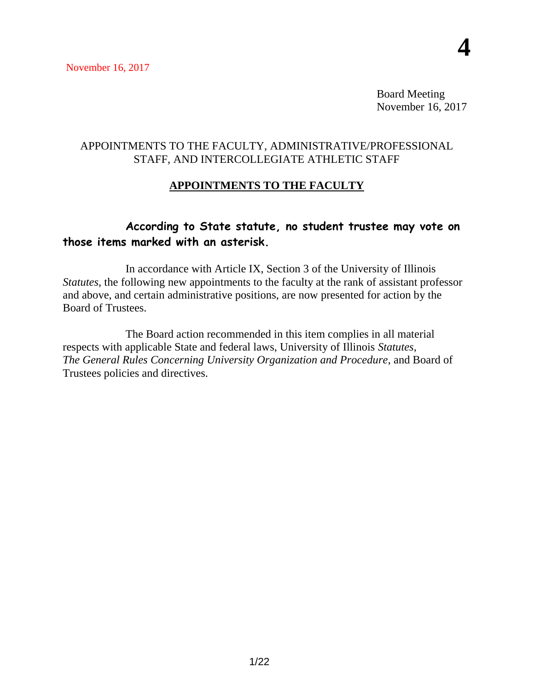Board Meeting November 16, 2017

### APPOINTMENTS TO THE FACULTY, ADMINISTRATIVE/PROFESSIONAL STAFF, AND INTERCOLLEGIATE ATHLETIC STAFF

# **APPOINTMENTS TO THE FACULTY**

# **According to State statute, no student trustee may vote on those items marked with an asterisk.**

In accordance with Article IX, Section 3 of the University of Illinois *Statutes*, the following new appointments to the faculty at the rank of assistant professor and above, and certain administrative positions, are now presented for action by the Board of Trustees.

The Board action recommended in this item complies in all material respects with applicable State and federal laws, University of Illinois *Statutes*, *The General Rules Concerning University Organization and Procedure*, and Board of Trustees policies and directives.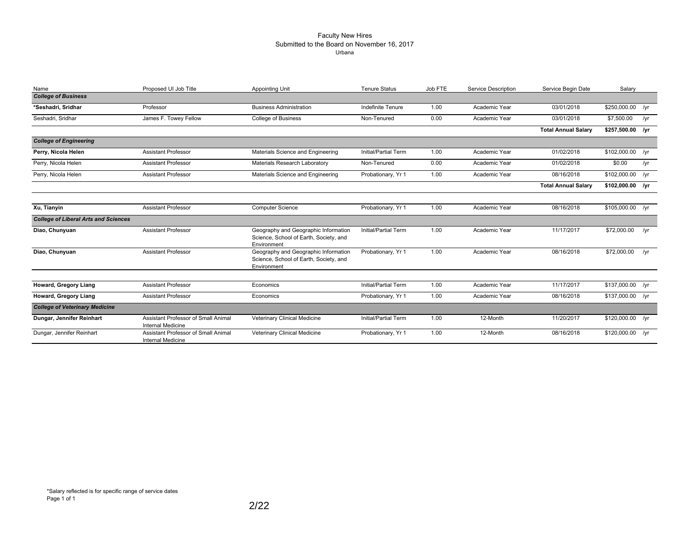#### Faculty New Hires Submitted to the Board on November 16, 2017 Urbana

| Name                                        | Proposed UI Job Title                                           | <b>Appointing Unit</b>                                                                        | <b>Tenure Status</b> | Job FTE | Service Description | Service Begin Date         | Salary           |     |
|---------------------------------------------|-----------------------------------------------------------------|-----------------------------------------------------------------------------------------------|----------------------|---------|---------------------|----------------------------|------------------|-----|
| <b>College of Business</b>                  |                                                                 |                                                                                               |                      |         |                     |                            |                  |     |
| *Seshadri, Sridhar                          | Professor                                                       | <b>Business Administration</b>                                                                | Indefinite Tenure    | 1.00    | Academic Year       | 03/01/2018                 | \$250,000.00 /yr |     |
| Seshadri, Sridhar                           | James F. Towey Fellow                                           | <b>College of Business</b>                                                                    | Non-Tenured          | 0.00    | Academic Year       | 03/01/2018                 | \$7,500.00       | /yr |
|                                             |                                                                 |                                                                                               |                      |         |                     | <b>Total Annual Salary</b> | \$257,500.00 /yr |     |
| <b>College of Engineering</b>               |                                                                 |                                                                                               |                      |         |                     |                            |                  |     |
| Perry, Nicola Helen                         | <b>Assistant Professor</b>                                      | Materials Science and Engineering                                                             | Initial/Partial Term | 1.00    | Academic Year       | 01/02/2018                 | \$102,000.00 /yr |     |
| Perry, Nicola Helen                         | <b>Assistant Professor</b>                                      | Materials Research Laboratory                                                                 | Non-Tenured          | 0.00    | Academic Year       | 01/02/2018                 | \$0.00           | /yr |
| Perry, Nicola Helen                         | <b>Assistant Professor</b>                                      | Materials Science and Engineering                                                             | Probationary, Yr 1   | 1.00    | Academic Year       | 08/16/2018                 | \$102,000.00 /yr |     |
|                                             |                                                                 |                                                                                               |                      |         |                     | <b>Total Annual Salary</b> | \$102,000.00 /yr |     |
|                                             |                                                                 |                                                                                               |                      |         |                     |                            |                  |     |
| Xu, Tianyin                                 | <b>Assistant Professor</b>                                      | <b>Computer Science</b>                                                                       | Probationary, Yr 1   | 1.00    | Academic Year       | 08/16/2018                 | \$105,000.00 /yr |     |
| <b>College of Liberal Arts and Sciences</b> |                                                                 |                                                                                               |                      |         |                     |                            |                  |     |
| Diao, Chunyuan                              | <b>Assistant Professor</b>                                      | Geography and Geographic Information<br>Science, School of Earth, Society, and<br>Environment | Initial/Partial Term | 1.00    | Academic Year       | 11/17/2017                 | \$72,000.00      | /yr |
| Diao, Chunyuan                              | <b>Assistant Professor</b>                                      | Geography and Geographic Information<br>Science, School of Earth, Society, and<br>Environment | Probationary, Yr 1   | 1.00    | Academic Year       | 08/16/2018                 | \$72,000.00      | /yr |
| Howard, Gregory Liang                       | <b>Assistant Professor</b>                                      | Economics                                                                                     | Initial/Partial Term | 1.00    | Academic Year       | 11/17/2017                 | \$137,000.00 /yr |     |
| Howard, Gregory Liang                       | <b>Assistant Professor</b>                                      | Economics                                                                                     | Probationary, Yr 1   | 1.00    | Academic Year       | 08/16/2018                 | \$137,000.00 /yr |     |
| <b>College of Veterinary Medicine</b>       |                                                                 |                                                                                               |                      |         |                     |                            |                  |     |
| Dungar, Jennifer Reinhart                   | Assistant Professor of Small Animal<br><b>Internal Medicine</b> | Veterinary Clinical Medicine                                                                  | Initial/Partial Term | 1.00    | 12-Month            | 11/20/2017                 | \$120,000.00 /yr |     |
| Dungar, Jennifer Reinhart                   | Assistant Professor of Small Animal<br><b>Internal Medicine</b> | Veterinary Clinical Medicine                                                                  | Probationary, Yr 1   | 1.00    | 12-Month            | 08/16/2018                 | \$120,000.00 /yr |     |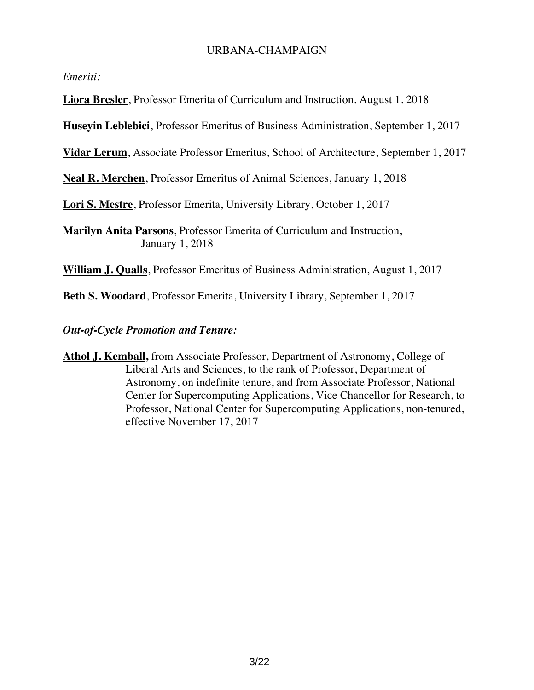#### URBANA-CHAMPAIGN

*Emeriti:*

**Liora Bresler**, Professor Emerita of Curriculum and Instruction, August 1, 2018

**Huseyin Leblebici**, Professor Emeritus of Business Administration, September 1, 2017

**Vidar Lerum**, Associate Professor Emeritus, School of Architecture, September 1, 2017

**Neal R. Merchen**, Professor Emeritus of Animal Sciences, January 1, 2018

**Lori S. Mestre**, Professor Emerita, University Library, October 1, 2017

**Marilyn Anita Parsons**, Professor Emerita of Curriculum and Instruction, January 1, 2018

**William J. Qualls**, Professor Emeritus of Business Administration, August 1, 2017

**Beth S. Woodard**, Professor Emerita, University Library, September 1, 2017

*Out-of-Cycle Promotion and Tenure:*

**Athol J. Kemball,** from Associate Professor, Department of Astronomy, College of Liberal Arts and Sciences, to the rank of Professor, Department of Astronomy, on indefinite tenure, and from Associate Professor, National Center for Supercomputing Applications, Vice Chancellor for Research, to Professor, National Center for Supercomputing Applications, non-tenured, effective November 17, 2017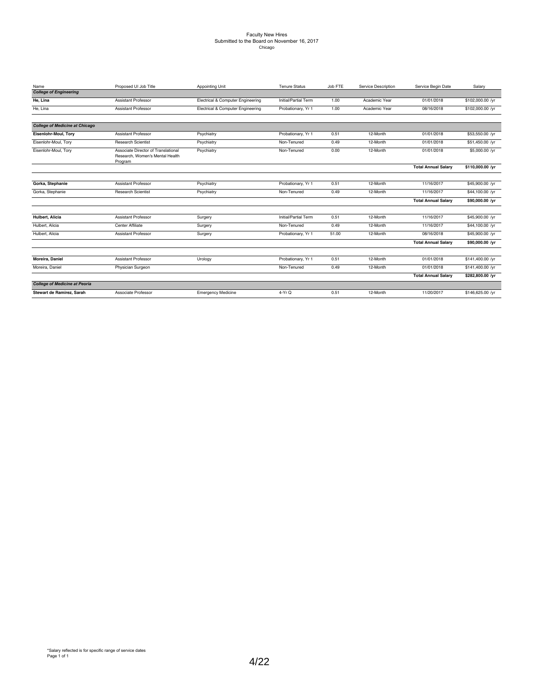# Faculty New Hires Submitted to the Board on November 16, 2017 Chicago

| Name                                  | Proposed UI Job Title                                                             | Appointing Unit                   | <b>Tenure Status</b> | Job FTE | Service Description | Service Begin Date         | Salary           |
|---------------------------------------|-----------------------------------------------------------------------------------|-----------------------------------|----------------------|---------|---------------------|----------------------------|------------------|
| <b>College of Engineering</b>         |                                                                                   |                                   |                      |         |                     |                            |                  |
| He, Lina                              | <b>Assistant Professor</b>                                                        | Electrical & Computer Engineering | Initial/Partial Term | 1.00    | Academic Year       | 01/01/2018                 | \$102,000.00 /yr |
| He, Lina                              | <b>Assistant Professor</b>                                                        | Electrical & Computer Engineering | Probationary, Yr 1   | 1.00    | Academic Year       | 08/16/2018                 | \$102,000.00 /yr |
| <b>College of Medicine at Chicago</b> |                                                                                   |                                   |                      |         |                     |                            |                  |
| Eisenlohr-Moul, Tory                  | <b>Assistant Professor</b>                                                        | Psychiatry                        | Probationary, Yr 1   | 0.51    | 12-Month            | 01/01/2018                 | \$53,550.00 /yr  |
| Eisenlohr-Moul, Tory                  | <b>Research Scientist</b>                                                         | Psychiatry                        | Non-Tenured          | 0.49    | 12-Month            | 01/01/2018                 | \$51,450.00 /yr  |
| Eisenlohr-Moul, Tory                  | Associate Director of Translational<br>Research, Women's Mental Health<br>Program | Psychiatry                        | Non-Tenured          | 0.00    | 12-Month            | 01/01/2018                 | \$5,000.00 /yr   |
|                                       |                                                                                   |                                   |                      |         |                     | <b>Total Annual Salary</b> | \$110,000.00 /yr |
|                                       |                                                                                   |                                   |                      |         |                     |                            |                  |
| Gorka, Stephanie                      | <b>Assistant Professor</b>                                                        | Psychiatry                        | Probationary, Yr 1   | 0.51    | 12-Month            | 11/16/2017                 | \$45,900.00 /yr  |
| Gorka, Stephanie                      | <b>Research Scientist</b>                                                         | Psychiatry                        | Non-Tenured          | 0.49    | 12-Month            | 11/16/2017                 | \$44,100.00 /yr  |
|                                       |                                                                                   |                                   |                      |         |                     | <b>Total Annual Salarv</b> | \$90,000.00 /yr  |
| Hulbert, Alicia                       | <b>Assistant Professor</b>                                                        | Surgery                           | Initial/Partial Term | 0.51    | 12-Month            | 11/16/2017                 | \$45,900.00 /yr  |
| Hulbert, Alicia                       | Center Affiliate                                                                  | Surgery                           | Non-Tenured          | 0.49    | 12-Month            | 11/16/2017                 | \$44,100.00 /yr  |
| Hulbert, Alicia                       | Assistant Professor                                                               | Surgery                           | Probationary, Yr 1   | 51.00   | 12-Month            | 08/16/2018                 | \$45,900.00 /yr  |
|                                       |                                                                                   |                                   |                      |         |                     | <b>Total Annual Salary</b> | \$90,000.00 /yr  |
| Moreira, Daniel                       | <b>Assistant Professor</b>                                                        | Urology                           | Probationary, Yr 1   | 0.51    | 12-Month            | 01/01/2018                 | \$141,400.00 /yr |
| Moreira, Daniel                       | Physician Surgeon                                                                 |                                   | Non-Tenured          | 0.49    | 12-Month            | 01/01/2018                 | \$141,400.00 /yr |
|                                       |                                                                                   |                                   |                      |         |                     | <b>Total Annual Salary</b> | \$282,800.00 /yr |
| <b>College of Medicine at Peoria</b>  |                                                                                   |                                   |                      |         |                     |                            |                  |
| Stewart de Ramirez, Sarah             | Associate Professor                                                               | <b>Emergency Medicine</b>         | $4-YrQ$              | 0.51    | 12-Month            | 11/20/2017                 | \$146,625.00 /yr |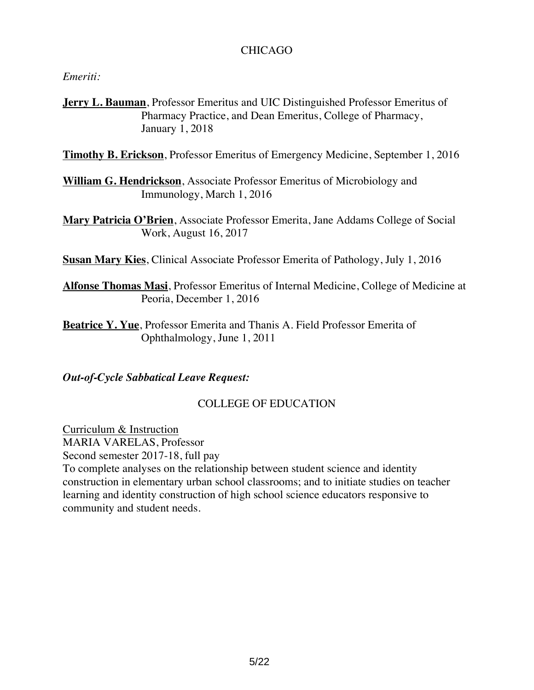### CHICAGO

*Emeriti:*

**Jerry L. Bauman**, Professor Emeritus and UIC Distinguished Professor Emeritus of Pharmacy Practice, and Dean Emeritus, College of Pharmacy, January 1, 2018

**Timothy B. Erickson**, Professor Emeritus of Emergency Medicine, September 1, 2016

- **William G. Hendrickson**, Associate Professor Emeritus of Microbiology and Immunology, March 1, 2016
- **Mary Patricia O'Brien**, Associate Professor Emerita, Jane Addams College of Social Work, August 16, 2017

**Susan Mary Kies**, Clinical Associate Professor Emerita of Pathology, July 1, 2016

- **Alfonse Thomas Masi**, Professor Emeritus of Internal Medicine, College of Medicine at Peoria, December 1, 2016
- **Beatrice Y. Yue**, Professor Emerita and Thanis A. Field Professor Emerita of Ophthalmology, June 1, 2011

## *Out-of-Cycle Sabbatical Leave Request:*

## COLLEGE OF EDUCATION

Curriculum & Instruction MARIA VARELAS, Professor Second semester 2017-18, full pay

To complete analyses on the relationship between student science and identity construction in elementary urban school classrooms; and to initiate studies on teacher learning and identity construction of high school science educators responsive to community and student needs.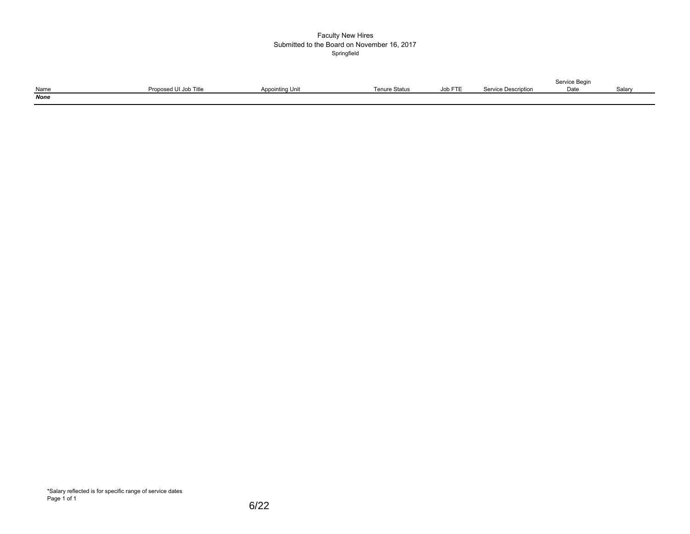#### Faculty New Hires Submitted to the Board on November 16, 2017 Springfield

|             |                       |                 |                      |         |                     | Service Begin |       |
|-------------|-----------------------|-----------------|----------------------|---------|---------------------|---------------|-------|
| Name        | Proposed UI Job Title | Appointing Unit | <b>Tenure Status</b> | Job FTE | Service Description | Date          | Salar |
| <b>None</b> |                       |                 |                      |         |                     |               |       |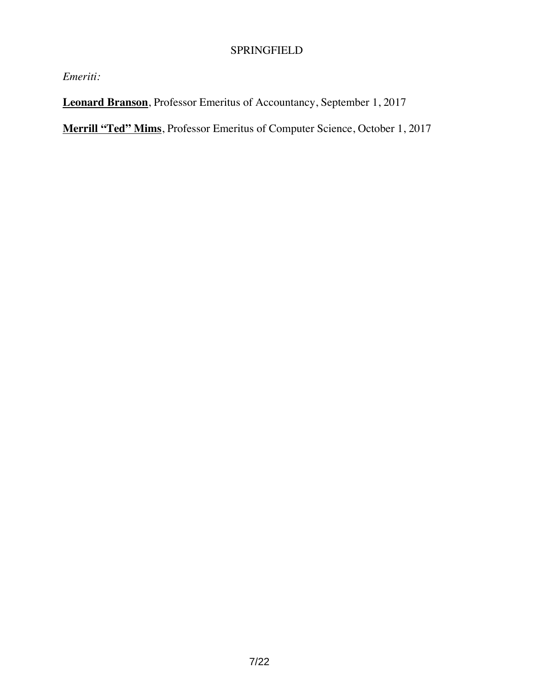# SPRINGFIELD

*Emeriti:*

**Leonard Branson**, Professor Emeritus of Accountancy, September 1, 2017

**Merrill "Ted" Mims**, Professor Emeritus of Computer Science, October 1, 2017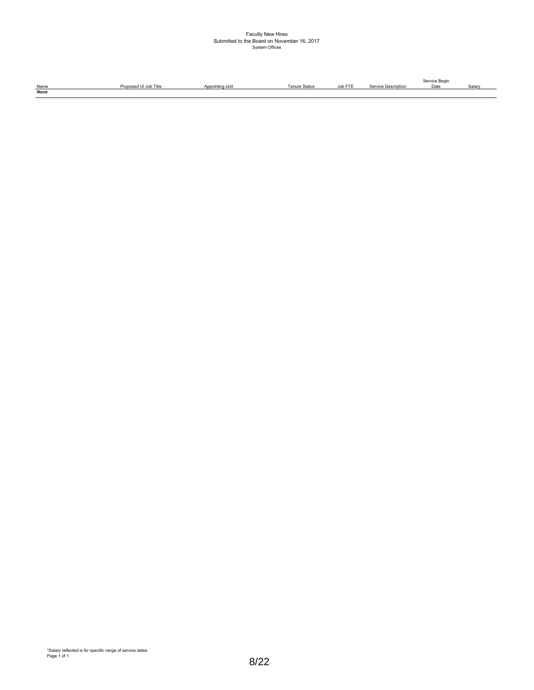# Faculty New Hires Submitted to the Board on November 16, 2017 System Offices

|             |                       |                 |                      |         |                     | Service Begin |        |
|-------------|-----------------------|-----------------|----------------------|---------|---------------------|---------------|--------|
| Name        | Proposed UI Job Title | Appointing Unit | <b>Tenure Status</b> | Job FTE | Service Description | Date          | Salary |
| <b>None</b> |                       |                 |                      |         |                     |               |        |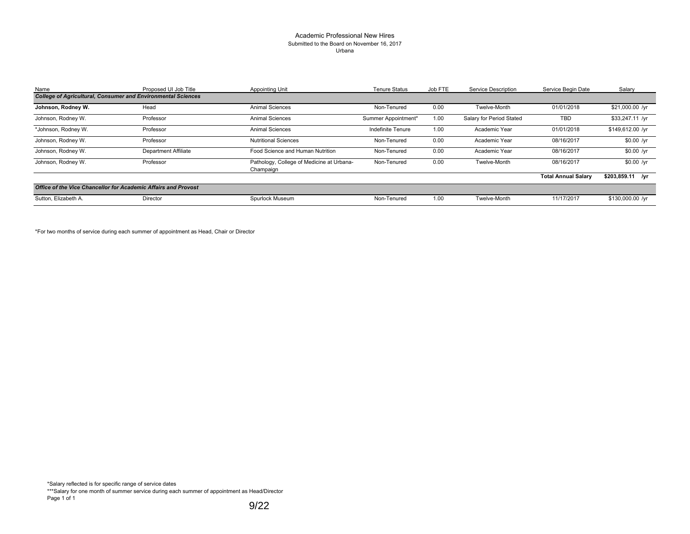#### Academic Professional New Hires Submitted to the Board on November 16, 2017 Urbana

| Name                                                                | Proposed UI Job Title | <b>Appointing Unit</b>                                 | <b>Tenure Status</b>     | Job FTE | Service Description      | Service Begin Date         | Salary            |
|---------------------------------------------------------------------|-----------------------|--------------------------------------------------------|--------------------------|---------|--------------------------|----------------------------|-------------------|
| <b>College of Agricultural, Consumer and Environmental Sciences</b> |                       |                                                        |                          |         |                          |                            |                   |
| Johnson, Rodney W.                                                  | Head                  | <b>Animal Sciences</b>                                 | Non-Tenured              | 0.00    | Twelve-Month             | 01/01/2018                 | \$21,000.00 /yr   |
| Johnson, Rodney W.                                                  | Professor             | <b>Animal Sciences</b>                                 | Summer Appointment*      | 1.00    | Salary for Period Stated | <b>TBD</b>                 | $$33,247.11$ /yr  |
| *Johnson, Rodney W.                                                 | Professor             | <b>Animal Sciences</b>                                 | <b>Indefinite Tenure</b> | 1.00    | Academic Year            | 01/01/2018                 | \$149,612.00 /yr  |
| Johnson, Rodney W.                                                  | Professor             | <b>Nutritional Sciences</b>                            | Non-Tenured              | 0.00    | Academic Year            | 08/16/2017                 | $$0.00$ /yr       |
| Johnson, Rodney W.                                                  | Department Affiliate  | Food Science and Human Nutrition                       | Non-Tenured              | 0.00    | Academic Year            | 08/16/2017                 | $$0.00$ /yr       |
| Johnson, Rodney W.                                                  | Professor             | Pathology, College of Medicine at Urbana-<br>Champaign | Non-Tenured              | 0.00    | Twelve-Month             | 08/16/2017                 | $$0.00$ /yr       |
|                                                                     |                       |                                                        |                          |         |                          | <b>Total Annual Salary</b> | $$203,859.11$ /yr |
| Office of the Vice Chancellor for Academic Affairs and Provost      |                       |                                                        |                          |         |                          |                            |                   |
| Sutton, Elizabeth A.                                                | <b>Director</b>       | Spurlock Museum                                        | Non-Tenured              | 1.00    | Twelve-Month             | 11/17/2017                 | \$130,000.00 /yr  |

\*For two months of service during each summer of appointment as Head, Chair or Director

\*Salary reflected is for specific range of service dates

\*\*\*Salary for one month of summer service during each summer of appointment as Head/Director Page 1 of 1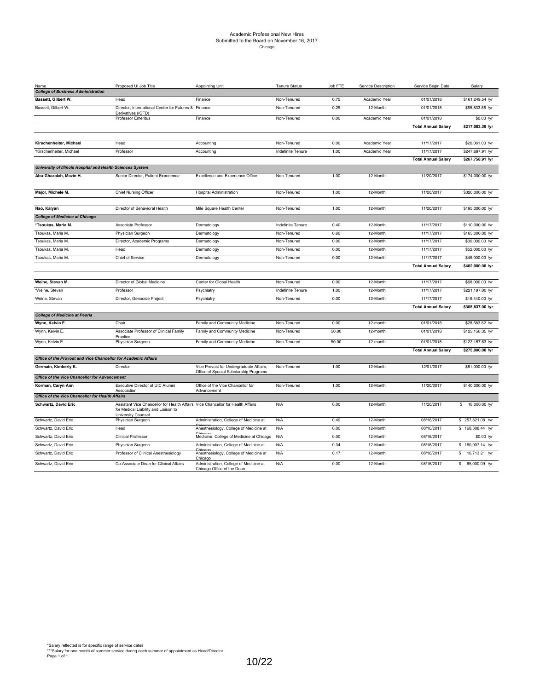#### Academic Professional New Hires Submitted to the Board on November 16, 2017 Chicago

| Name                                                           | Proposed UI Job Title                                                                                                                                | <b>Appointing Unit</b>                                                            | <b>Tenure Status</b> | Job FTE | Service Description | Service Begin Date         | Salary                        |
|----------------------------------------------------------------|------------------------------------------------------------------------------------------------------------------------------------------------------|-----------------------------------------------------------------------------------|----------------------|---------|---------------------|----------------------------|-------------------------------|
| <b>College of Business Administration</b>                      |                                                                                                                                                      |                                                                                   |                      |         |                     |                            |                               |
| Bassett, Gilbert W.                                            | Head                                                                                                                                                 | Finance                                                                           | Non-Tenured          | 0.75    | Academic Year       | 01/01/2018                 | \$161,249.54 /yr              |
| Bassett, Gilbert W.                                            | Director, International Center for Futures & Finance<br>Derivatives (ICFD)                                                                           |                                                                                   | Non-Tenured          | 0.25    | 12-Month            | 01/01/2018                 | \$55,833.85 /yr               |
|                                                                | Professor Emeritus                                                                                                                                   | Finance                                                                           | Non-Tenured          | 0.00    | Academic Year       | 01/01/2018                 | \$0.00 /yr                    |
|                                                                |                                                                                                                                                      |                                                                                   |                      |         |                     | <b>Total Annual Salary</b> | \$217,083.39 /yr              |
| Kirschenheiter, Michael                                        | Head                                                                                                                                                 | Accounting                                                                        | Non-Tenured          | 0.00    | Academic Year       | 11/17/2017                 | \$20,061.00 /yr               |
| *Kirschenheiter, Michael                                       | Professor                                                                                                                                            | Accounting                                                                        | Indefinite Tenure    | 1.00    | Academic Year       | 11/17/2017                 | \$247,697.91 /yr              |
|                                                                |                                                                                                                                                      |                                                                                   |                      |         |                     | <b>Total Annual Salary</b> | \$267,758.91 /yr              |
| University of Illinois Hospital and Health Sciences System     |                                                                                                                                                      |                                                                                   |                      |         |                     |                            |                               |
| Abu-Ghazalah, Mazin H.                                         | Senior Director, Patient Experience                                                                                                                  | Excellence and Experience Office                                                  | Non-Tenured          | 1.00    | 12-Month            | 11/20/2017                 | \$174,000.00 /yr              |
|                                                                |                                                                                                                                                      |                                                                                   |                      |         |                     |                            |                               |
| Major, Michele M.                                              | Chief Nursing Officer                                                                                                                                | <b>Hospital Administration</b>                                                    | Non-Tenured          | 1.00    | 12-Month            | 11/20/2017                 | \$320,000.00 /yr              |
|                                                                |                                                                                                                                                      |                                                                                   |                      |         |                     |                            |                               |
| Rao, Kalyan                                                    | Director of Behavioral Health                                                                                                                        | Mile Square Health Center                                                         | Non-Tenured          | 1.00    | 12-Month            | 11/20/2017                 | \$195,000.00 /yr              |
| <b>College of Medicine at Chicago</b>                          |                                                                                                                                                      |                                                                                   |                      |         |                     |                            |                               |
| *Tsoukas, Maria M.                                             | Associate Professor                                                                                                                                  | Dermatology                                                                       | Indefinite Tenure    | 0.40    | 12-Month            | 11/17/2017                 | \$110,000.00 /yr              |
| Tsoukas, Maria M.                                              | Physician Surgeon                                                                                                                                    | Dermatology                                                                       | Non-Tenured          | 0.60    | 12-Month            | 11/17/2017                 | \$165,000.00 /yr              |
| Tsoukas, Maria M.                                              | Director, Academic Programs                                                                                                                          | Dermatology                                                                       | Non-Tenured          | 0.00    | 12-Month            | 11/17/2017                 | \$30,000.00 /yr               |
| Tsoukas, Maria M.                                              | Head                                                                                                                                                 | Dermatology                                                                       | Non-Tenured          | 0.00    | 12-Month            | 11/17/2017                 | \$52,000.00 /yr               |
| Tsoukas, Maria M.                                              | Chief of Service                                                                                                                                     | Dermatology                                                                       | Non-Tenured          | 0.00    | 12-Month            | 11/17/2017                 | \$45,000.00 /yr               |
|                                                                |                                                                                                                                                      |                                                                                   |                      |         |                     | <b>Total Annual Salary</b> | \$402,000.00 /yr              |
|                                                                |                                                                                                                                                      |                                                                                   |                      |         |                     |                            |                               |
| Weine, Stevan M.                                               | Director of Global Medicine                                                                                                                          | Center for Global Health                                                          | Non-Tenured          | 0.00    | 12-Month            | 11/17/2017                 | \$68,000.00 /yr               |
| *Weine, Stevan                                                 | Professor                                                                                                                                            | Psychiatry                                                                        | Indefinite Tenure    | 1.00    | 12-Month            | 11/17/2017                 | \$221,197.00 /yr              |
| Weine, Stevan                                                  | Director, Genocide Project                                                                                                                           | Psychiatry                                                                        | Non-Tenured          | 0.00    | 12-Month            | 11/17/2017                 | \$16,440.00 /yr               |
|                                                                |                                                                                                                                                      |                                                                                   |                      |         |                     | <b>Total Annual Salary</b> | \$305,637.00 /yr              |
| <b>College of Medicine at Peoria</b>                           |                                                                                                                                                      |                                                                                   |                      |         |                     |                            |                               |
| Wynn, Kelvin E.                                                | Chair                                                                                                                                                | Family and Community Medicine                                                     | Non-Tenured          | 0.00    | 12-month            | 01/01/2018                 | \$28,683.82 /yr               |
| Wynn, Kelvin E.                                                | Associate Professor of Clinical Family<br>Practice                                                                                                   | Family and Community Medicine                                                     | Non-Tenured          | 50.00   | 12-month            | 01/01/2018                 | \$123,158.35 /yr              |
| Wynn, Kelvin E.                                                | Physician Surgeon                                                                                                                                    | Family and Community Medicine                                                     | Non-Tenured          | 50.00   | 12-month            | 01/01/2018                 | \$123,157.83 /yr              |
|                                                                |                                                                                                                                                      |                                                                                   |                      |         |                     | <b>Total Annual Salary</b> | \$275,000.00 /yr              |
| Office of the Provost and Vice Chancellor for Academic Affairs |                                                                                                                                                      |                                                                                   |                      |         |                     |                            |                               |
| Germain, Kimberly K.                                           | Director                                                                                                                                             | Vice Provost for Undergraduate Affairs,<br>Office of Special Scholarship Programs | Non-Tenured          | 1.00    | 12-Month            | 12/01/2017                 | \$81,000.00 /yr               |
| Office of the Vice Chancellor for Advancement                  |                                                                                                                                                      |                                                                                   |                      |         |                     |                            |                               |
| Korman, Caryn Ann                                              | Executive Director of UIC Alumni<br>Association                                                                                                      | Office of the Vice Chancellor for<br>Advancement                                  | Non-Tenured          | 1.00    | 12-Month            | 11/20/2017                 | \$140,000.00 /yr              |
| Office of the Vice Chancellor for Health Affairs               |                                                                                                                                                      |                                                                                   |                      |         |                     |                            |                               |
| Schwartz, David Eric                                           | Assistant Vice Chancellor for Health Affairs Vice Chancellor for Health Affairs<br>for Medical Liability and Liaison to<br><b>University Counsel</b> |                                                                                   | N/A                  | 0.00    | 12-Month            | 11/20/2017                 | \$ 18,000.00 /yr              |
| Schwartz, David Eric                                           | Physician Surgeon                                                                                                                                    | Administration, College of Medicine at                                            | N/A                  | 0.49    | 12-Month            | 08/16/2017                 | \$ 257,821.08 /yr             |
| Schwartz, David Eric                                           | Head                                                                                                                                                 | Anesthesiology, College of Medicine at                                            | N/A                  | 0.00    | 12-Month            | 08/16/2017                 | \$ 168,308.44 /yr             |
| Schwartz, David Eric                                           | <b>Clinical Professor</b>                                                                                                                            | Medicine, College of Medicine at Chicago                                          | N/A                  | 0.00    | 12-Month            | 08/16/2017                 | \$0.00 /yr                    |
| Schwartz, David Eric                                           | Physician Surgeon                                                                                                                                    | Administration, College of Medicine at                                            | N/A                  | 0.34    | 12-Month            | 08/16/2017                 | \$ 160,907.14 /yr             |
| Schwartz, David Eric                                           | Professor of Clinical Anesthesiology                                                                                                                 | Anesthesiology, College of Medicine at<br>Chicago                                 | N/A                  | 0.17    | 12-Month            | 08/16/2017                 | \$<br>16,713.21 /yr           |
| Schwartz, David Eric                                           | Co-Associate Dean for Clinical Affairs                                                                                                               | Administration, College of Medicine at<br>Chicago Office of the Dean              | N/A                  | 0.00    | 12-Month            | 08/16/2017                 | $\mathsf{s}$<br>65,000.09 /yr |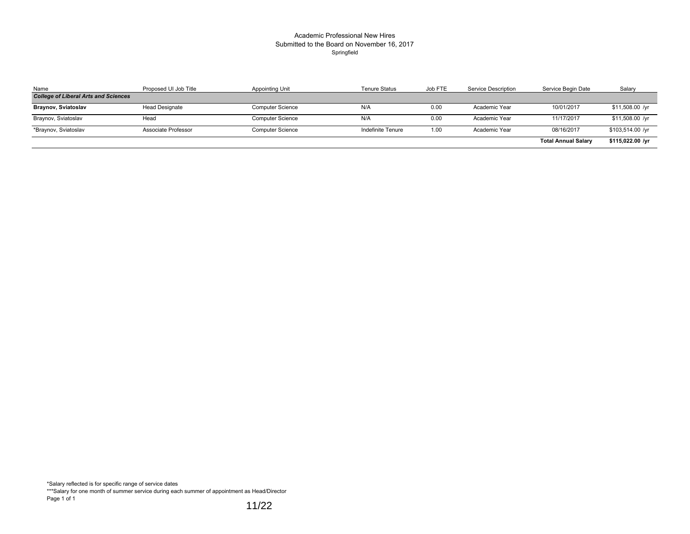#### Academic Professional New Hires Submitted to the Board on November 16, 2017 Springfield

| Name                                        | Proposed UI Job Title | Appointing Unit         | <b>Tenure Status</b> | Job FTE | Service Description | Service Begin Date         | Salary           |
|---------------------------------------------|-----------------------|-------------------------|----------------------|---------|---------------------|----------------------------|------------------|
| <b>College of Liberal Arts and Sciences</b> |                       |                         |                      |         |                     |                            |                  |
| <b>Braynov, Sviatoslav</b>                  | <b>Head Designate</b> | <b>Computer Science</b> | N/A                  | 0.00    | Academic Year       | 10/01/2017                 | $$11,508.00$ /yr |
| Braynov, Sviatoslav                         | Head                  | <b>Computer Science</b> | N/A                  | 0.00    | Academic Year       | 11/17/2017                 | \$11,508.00 /yr  |
| *Braynov, Sviatoslav                        | Associate Professor   | <b>Computer Science</b> | Indefinite Tenure    | 1.00    | Academic Year       | 08/16/2017                 | \$103,514.00 /yr |
|                                             |                       |                         |                      |         |                     | <b>Total Annual Salary</b> | \$115,022.00 /yr |

\*Salary reflected is for specific range of service dates

\*\*\*Salary for one month of summer service during each summer of appointment as Head/Director Page 1 of 1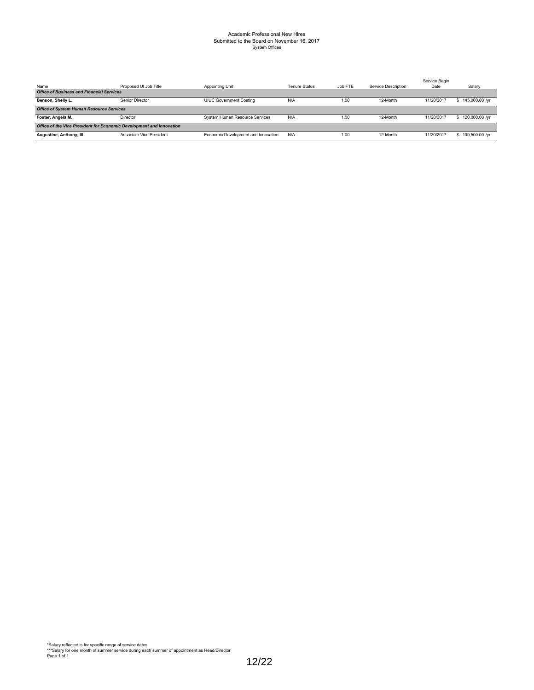# Academic Professional New Hires Submitted to the Board on November 16, 2017 System Offices

| Name                                             | Proposed UI Job Title                                                | Appointing Unit                     | <b>Tenure Status</b> | Job FTE | Service Description | Service Begin<br>Date | Salary         |  |
|--------------------------------------------------|----------------------------------------------------------------------|-------------------------------------|----------------------|---------|---------------------|-----------------------|----------------|--|
| <b>Office of Business and Financial Services</b> |                                                                      |                                     |                      |         |                     |                       |                |  |
| Benson, Shelly L.                                | Senior Director                                                      | <b>UIUC Government Costing</b>      | N/A                  | 1.00    | 12-Month            | 11/20/2017            | 145,000.00 /yr |  |
| <b>Office of System Human Resource Services</b>  |                                                                      |                                     |                      |         |                     |                       |                |  |
| Foster, Angela M.                                | Director                                                             | System Human Resource Services      | N/A                  | 1.00    | 12-Month            | 11/20/2017            | 120,000.00 /yr |  |
|                                                  | Office of the Vice President for Economic Development and Innovation |                                     |                      |         |                     |                       |                |  |
| Augustine, Anthony, III                          | Associate Vice President                                             | Economic Development and Innovation | N/A                  | 1.00    | 12-Month            | 11/20/2017            | 199,500.00 /yr |  |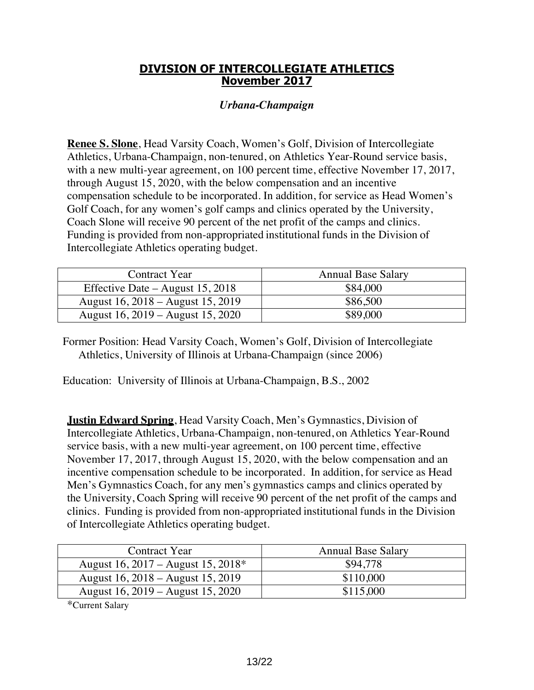### **DIVISION OF INTERCOLLEGIATE ATHLETICS November 2017**

#### *Urbana-Champaign*

**Renee S. Slone**, Head Varsity Coach, Women's Golf, Division of Intercollegiate Athletics, Urbana-Champaign, non-tenured, on Athletics Year-Round service basis, with a new multi-year agreement, on 100 percent time, effective November 17, 2017, through August 15, 2020, with the below compensation and an incentive compensation schedule to be incorporated. In addition, for service as Head Women's Golf Coach, for any women's golf camps and clinics operated by the University, Coach Slone will receive 90 percent of the net profit of the camps and clinics. Funding is provided from non-appropriated institutional funds in the Division of Intercollegiate Athletics operating budget.

| Contract Year                      | <b>Annual Base Salary</b> |
|------------------------------------|---------------------------|
| Effective Date $-$ August 15, 2018 | \$84,000                  |
| August 16, 2018 – August 15, 2019  | \$86,500                  |
| August 16, 2019 – August 15, 2020  | \$89,000                  |

Former Position: Head Varsity Coach, Women's Golf, Division of Intercollegiate Athletics, University of Illinois at Urbana-Champaign (since 2006)

Education: University of Illinois at Urbana-Champaign, B.S., 2002

**Justin Edward Spring**, Head Varsity Coach, Men's Gymnastics, Division of Intercollegiate Athletics, Urbana-Champaign, non-tenured, on Athletics Year-Round service basis, with a new multi-year agreement, on 100 percent time, effective November 17, 2017, through August 15, 2020, with the below compensation and an incentive compensation schedule to be incorporated. In addition, for service as Head Men's Gymnastics Coach, for any men's gymnastics camps and clinics operated by the University, Coach Spring will receive 90 percent of the net profit of the camps and clinics. Funding is provided from non-appropriated institutional funds in the Division of Intercollegiate Athletics operating budget.

| Contract Year                      | <b>Annual Base Salary</b> |
|------------------------------------|---------------------------|
| August 16, 2017 – August 15, 2018* | \$94,778                  |
| August 16, 2018 – August 15, 2019  | \$110,000                 |
| August 16, 2019 – August 15, 2020  | \$115,000                 |

\*Current Salary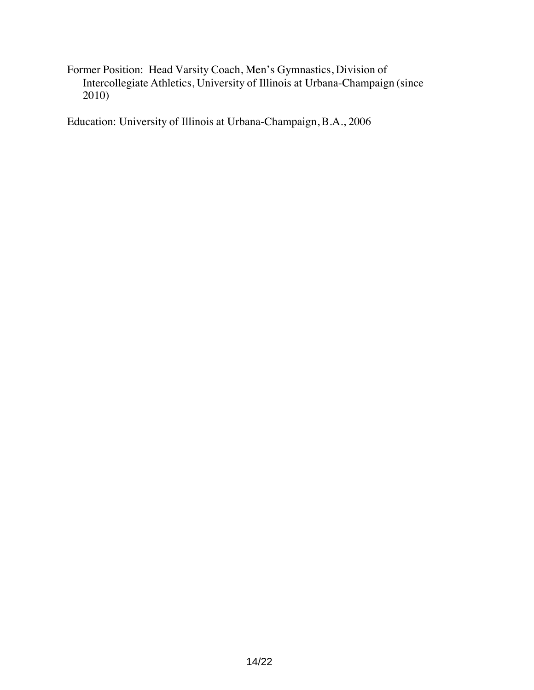Former Position: Head Varsity Coach, Men's Gymnastics, Division of Intercollegiate Athletics, University of Illinois at Urbana-Champaign (since 2010)

Education: University of Illinois at Urbana-Champaign, B.A., 2006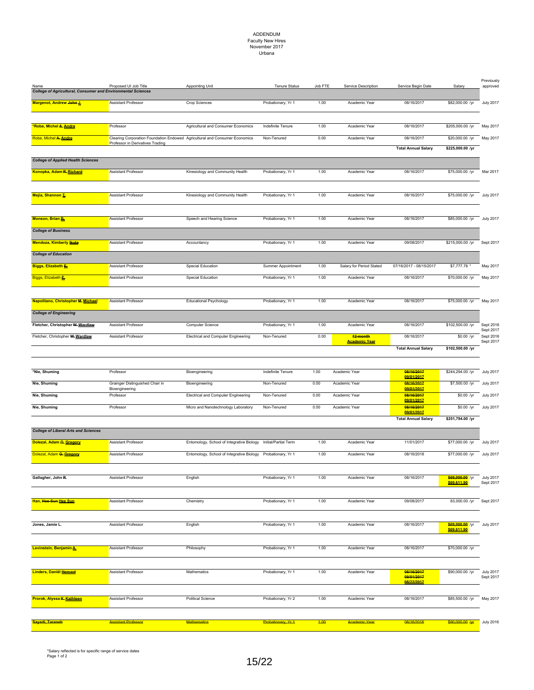### ADDENDUM Faculty New Hires November 2017 Urbana

| Name<br><b>College of Agricultural, Consumer and Environmental Sciences</b> | Proposed UI Job Title                                                       | <b>Appointing Unit</b>                                       | <b>Tenure Status</b> | Job FTE | Service Description              | Service Begin Date         | Salary                              | Previously<br>approved        |
|-----------------------------------------------------------------------------|-----------------------------------------------------------------------------|--------------------------------------------------------------|----------------------|---------|----------------------------------|----------------------------|-------------------------------------|-------------------------------|
| Margenot, Andrew John J.                                                    | <b>Assistant Professor</b>                                                  | Crop Sciences                                                | Probationary, Yr 1   | 1.00    | Academic Year                    | 08/16/2017                 | \$82,000.00 /yr                     | <b>July 2017</b>              |
|                                                                             |                                                                             |                                                              |                      |         |                                  |                            |                                     |                               |
| <u>*Robe, Michel <del>A.</del> Andre</u>                                    | Professor                                                                   | Agricultural and Consumer Economics                          | Indefinite Tenure    | 1.00    | Academic Year                    | 08/16/2017                 | \$205,000.00 /yr                    | May 2017                      |
| Robe, Michel A. Andre                                                       | Clearing Corporation Foundation Endowed Agricultural and Consumer Economics |                                                              | Non-Tenured          | 0.00    | Academic Year                    | 08/16/2017                 | \$20,000.00 /yr                     | May 2017                      |
|                                                                             | Professor in Derivatives Trading                                            |                                                              |                      |         |                                  | <b>Total Annual Salary</b> | \$225,000.00 /yr                    |                               |
| <b>College of Applied Health Sciences</b>                                   |                                                                             |                                                              |                      |         |                                  |                            |                                     |                               |
| Konopka, Adam R. Richard                                                    | Assistant Professor                                                         | Kinesiology and Community Health                             | Probationary, Yr 1   | 1.00    | Academic Year                    | 08/16/2017                 | \$75,000.00 /yr                     | Mar 2017                      |
|                                                                             |                                                                             |                                                              |                      |         |                                  |                            |                                     |                               |
| Mejía, Shannon L                                                            | <b>Assistant Professor</b>                                                  | Kinesiology and Community Health                             | Probationary, Yr 1   | 1.00    | Academic Year                    | 08/16/2017                 | \$75,000.00 /yr                     | <b>July 2017</b>              |
|                                                                             |                                                                             |                                                              |                      |         |                                  |                            |                                     |                               |
| <b>Monson, Brian B.</b>                                                     | <b>Assistant Professor</b>                                                  | Speech and Hearing Science                                   | Probationary, Yr 1   | 1.00    | Academic Year                    | 08/16/2017                 | \$85,000.00 /yr                     | <b>July 2017</b>              |
| <b>College of Business</b>                                                  |                                                                             |                                                              |                      |         |                                  |                            |                                     |                               |
| <b>Mendoza, Kimberly Kuta</b>                                               | Assistant Professor                                                         | Accountancy                                                  | Probationary, Yr 1   | 1.00    | Academic Year                    | 09/08/2017                 | \$215,000.00 /yr                    | Sept 2017                     |
| <b>College of Education</b>                                                 |                                                                             |                                                              |                      |         |                                  |                            |                                     |                               |
| <b>Biggs, Elizabeth E</b>                                                   | Assistant Professor                                                         | Special Education                                            | Summer Appointment   | 1.00    | Salary for Period Stated         | 07/16/2017 - 08/15/2017    | \$7,777.78                          | May 2017                      |
| Biggs, Elizabeth                                                            | <b>Assistant Professor</b>                                                  | Special Education                                            | Probationary, Yr 1   | 1.00    | Academic Year                    | 08/16/2017                 | \$70,000.00 /yr                     | May 2017                      |
|                                                                             |                                                                             |                                                              |                      |         |                                  |                            |                                     |                               |
| Napolitano, Christopher M. Michael                                          | <b>Assistant Professor</b>                                                  | <b>Educational Psychology</b>                                | Probationary, Yr 1   | 1.00    | Academic Year                    | 08/16/2017                 | \$75,000.00 /yr                     | May 2017                      |
| <b>College of Engineering</b>                                               |                                                                             |                                                              |                      |         |                                  |                            |                                     |                               |
|                                                                             | <b>Assistant Professor</b>                                                  |                                                              |                      |         |                                  |                            |                                     |                               |
| Fletcher, Christopher W. Wardlaw                                            |                                                                             | Computer Science                                             | Probationary, Yr 1   | 1.00    | Academic Year                    | 08/16/2017                 | \$102,500.00 /yr                    | Sept 2016<br>Sept 2017        |
| Fletcher, Christopher W. Wardlaw                                            | <b>Assistant Professor</b>                                                  | <b>Electrical and Computer Engineering</b>                   | Non-Tenured          | 0.00    | 12-month<br><b>Academic Year</b> | 08/16/2017                 | \$0.00 /yr                          | Sept 2016<br>Sept 2017        |
|                                                                             |                                                                             |                                                              |                      |         |                                  | <b>Total Annual Salary</b> | \$102,500.00 /yr                    |                               |
|                                                                             |                                                                             |                                                              |                      |         |                                  |                            |                                     |                               |
| *Nie, Shuming                                                               | Professor                                                                   | Bioengineering                                               | Indefinite Tenure    | 1.00    | Academic Year                    | 08/16/2017<br>09/01/2017   | \$244,294.00 /yr                    | <b>July 2017</b>              |
| Nie, Shuming                                                                | Grainger Distinguished Chair in<br>Bioengineering                           | Bioengineering                                               | Non-Tenured          | 0.00    | Academic Year                    | 08/16/2017<br>09/01/2017   | \$7,500.00 /yr                      | <b>July 2017</b>              |
| Nie, Shuming                                                                | Professor                                                                   | <b>Electrical and Computer Engineering</b>                   | Non-Tenured          | 0.00    | Academic Year                    | 08/16/2017<br>09/01/2017   | \$0.00 /yr                          | <b>July 2017</b>              |
| Nie, Shuming                                                                | Professor                                                                   | Micro and Nanotechnology Laboratory                          | Non-Tenured          | 0.00    | Academic Year                    | 08/16/2017<br>09/01/2017   | \$0.00 /yr                          | <b>July 2017</b>              |
|                                                                             |                                                                             |                                                              |                      |         |                                  | <b>Total Annual Salary</b> | \$251,794.00 /yr                    |                               |
| <b>College of Liberal Arts and Sciences</b>                                 |                                                                             |                                                              |                      |         |                                  |                            |                                     |                               |
| Dolezal, Adam G. Gregory                                                    | Assistant Professor                                                         | Entomology, School of Integrative Biology                    | Initial/Partial Term | 1.00    | Academic Year                    | 11/01/2017                 | \$77,000.00 /yr                     | <b>July 2017</b>              |
| Dolezal, Adam G. Gregory                                                    | <b>Assistant Professor</b>                                                  | Entomology, School of Integrative Biology Probationary, Yr 1 |                      | 1.00    | Academic Year                    | 08/16/2018                 | \$77,000.00 /yr                     | <b>July 2017</b>              |
|                                                                             |                                                                             |                                                              |                      |         |                                  |                            |                                     |                               |
| Gallagher, John R.                                                          | Assistant Professor                                                         | English                                                      | Probationary, Yr 1   | 1.00    | Academic Year                    | 08/16/2017                 | \$69,000.00 /yr<br>\$69,611.90      | <b>July 2017</b><br>Sept 2017 |
|                                                                             |                                                                             |                                                              |                      |         |                                  |                            |                                     |                               |
| Han, Hee-Sun Hee Sun                                                        | <b>Assistant Professor</b>                                                  | Chemistry                                                    | Probationary, Yr 1   | 1.00    | Academic Year                    | 09/08/2017                 | 83,000.00 /yr                       | Sept 2017                     |
|                                                                             |                                                                             |                                                              |                      |         |                                  |                            |                                     |                               |
| Jones, Jamie L.                                                             | Assistant Professor                                                         | English                                                      | Probationary, Yr 1   | 1.00    | Academic Year                    | 08/16/2017                 | \$69,000.00 /yr                     | <b>July 2017</b>              |
|                                                                             |                                                                             |                                                              |                      |         |                                  |                            | \$69,611.90                         |                               |
| Levinstein, Benjamin A.                                                     | Assistant Professor                                                         | Philosophy                                                   | Probationary, Yr 1   | 1.00    | Academic Year                    | 08/16/2017                 | \$70,000.00 /yr                     |                               |
|                                                                             |                                                                             |                                                              |                      |         |                                  |                            |                                     |                               |
| Linders, Daniël Hemant                                                      | Assistant Professor                                                         | Mathematics                                                  | Probationary, Yr 1   | 1.00    | Academic Year                    | 08/16/2017                 | \$90,000.00 /yr                     | <b>July 2017</b>              |
|                                                                             |                                                                             |                                                              |                      |         |                                  | 09/01/2017<br>08/22/2017   |                                     | Sept 2017                     |
|                                                                             |                                                                             |                                                              |                      |         |                                  |                            |                                     |                               |
| Prorok, Alyssa K. Kathleen                                                  | Assistant Professor                                                         | <b>Political Science</b>                                     | Probationary, Yr 2   | 1.00    | Academic Year                    | 08/16/2017                 | \$85,500.00 /yr May 2017            |                               |
|                                                                             |                                                                             |                                                              |                      |         |                                  |                            |                                     |                               |
| Sayadi, Taraneh                                                             | <b>Assistant Professor</b>                                                  | <b>Mathematics</b>                                           | Probationary, Yr 1   | 4.00    | <b>Academic Year</b>             | 08/16/2016                 | $$90,000.00 \, \text{Ar}$ July 2016 |                               |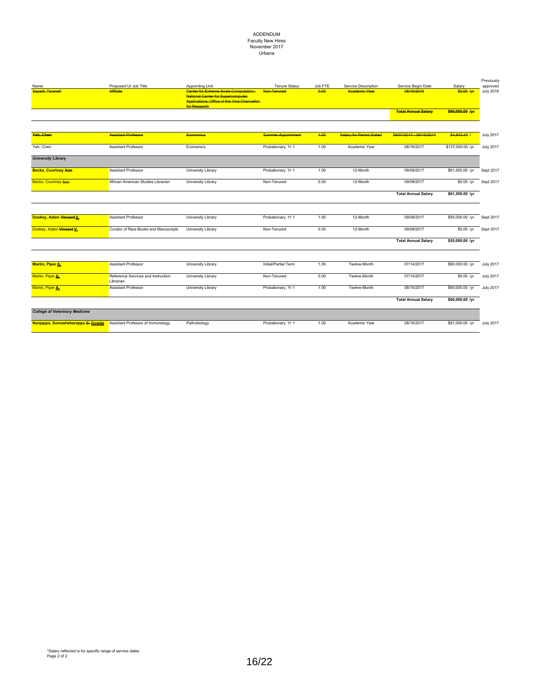### ADDENDUM Faculty New Hires November 2017 Urbana

| Name                                  | Proposed UI Job Title                           | Appointing Unit                                                                                                                                   | <b>Tenure Status</b>      | Job FTE | Service Description             | Service Begin Date         | Salary           | Previously<br>approved |
|---------------------------------------|-------------------------------------------------|---------------------------------------------------------------------------------------------------------------------------------------------------|---------------------------|---------|---------------------------------|----------------------------|------------------|------------------------|
| Savadi, Taraneh                       | <b>Affiliate</b>                                | Center for Extreme Scale Computation.<br><b>National Center for Supercomputer</b><br>Applications, Office of the Vice Chancellor-<br>for Research | Non-Tenurad               | 0.00    | <b>Academic Vear</b>            | 08/16/2016                 | \$0.00 Am        | <b>July 2016</b>       |
|                                       |                                                 |                                                                                                                                                   |                           |         |                                 | <b>Total Annual Salary</b> | \$90,000.00 /yr  |                        |
| Yeh, Chen                             | <b>Assistant Professor</b>                      | <b>Economics</b>                                                                                                                                  | <b>Summer Appointment</b> | 4.00    | <b>Salary for Period Stated</b> | 08/07/2017 - 08/15/2017    | \$4,843,43 ≛     | <b>July 2017</b>       |
|                                       |                                                 |                                                                                                                                                   |                           |         |                                 |                            |                  |                        |
| Yeh, Chen                             | <b>Assistant Professor</b>                      | Economics                                                                                                                                         | Probationary, Yr 1        | 1.00    | Academic Year                   | 08/16/2017                 | \$137,000.00 /yr | <b>July 2017</b>       |
| <b>University Library</b>             |                                                 |                                                                                                                                                   |                           |         |                                 |                            |                  |                        |
| <b>Becks, Courtney Ann</b>            | <b>Assistant Professor</b>                      | University Library                                                                                                                                | Probationary, Yr 1        | 1.00    | 12-Month                        | 09/08/2017                 | \$61,500.00 /yr  | Sept 2017              |
| <b>Becks, Courtney Ann</b>            | African American Studies Librarian              | University Library                                                                                                                                | Non-Tenured               | 0.00    | 12-Month                        | 09/08/2017                 | $$0.00$ /yr      | Sept 2017              |
|                                       |                                                 |                                                                                                                                                   |                           |         |                                 | <b>Total Annual Salary</b> | \$61,500.00 /yr  |                        |
|                                       |                                                 |                                                                                                                                                   |                           |         |                                 |                            |                  |                        |
| Doskey, Adam Vincent V.               | <b>Assistant Professor</b>                      | University Library                                                                                                                                | Probationary, Yr 1        | 1.00    | 12-Month                        | 09/08/2017                 | \$55,000.00 /yr  | Sept 2017              |
| Doskey, Adam Vincent V.               | Curator of Rare Books and Manuscripts           | University Library                                                                                                                                | Non-Tenured               | 0.00    | 12-Month                        | 09/08/2017                 | $$0.00$ /yr      | Sept 2017              |
|                                       |                                                 |                                                                                                                                                   |                           |         |                                 | <b>Total Annual Salary</b> | \$55,000.00 /yr  |                        |
|                                       |                                                 |                                                                                                                                                   |                           |         |                                 |                            |                  |                        |
| <b>Martin, Piper A.</b>               | <b>Assistant Professor</b>                      | University Library                                                                                                                                | Initial/Partial Term      | 1.00    | Twelve-Month                    | 07/14/2017                 | \$60,000.00 /yr  | <b>July 2017</b>       |
| Martin, Piper A.                      | Reference Services and Instruction<br>Librarian | University Library                                                                                                                                | Non-Tenured               | 0.00    | Twelve-Month                    | 07/14/2017                 | $$0.00$ /yr      | <b>July 2017</b>       |
| Martin, Piper A.                      | <b>Assistant Professor</b>                      | University Library                                                                                                                                | Probationary, Yr 1        | 1.00    | Twelve-Month                    | 08/16/2017                 | \$60,000.00 /yr  | <b>July 2017</b>       |
|                                       |                                                 |                                                                                                                                                   |                           |         |                                 | <b>Total Annual Salary</b> | \$60,000.00 /yr  |                        |
| <b>College of Veterinary Medicine</b> |                                                 |                                                                                                                                                   |                           |         |                                 |                            |                  |                        |
| Nanjappa, Somashekarappa G. Gowda     | Assistant Professor of Immunology               | Pathobiology                                                                                                                                      | Probationary, Yr 1        | 1.00    | Academic Year                   | 08/16/2017                 | \$91,000.00 /vr  | <b>July 2017</b>       |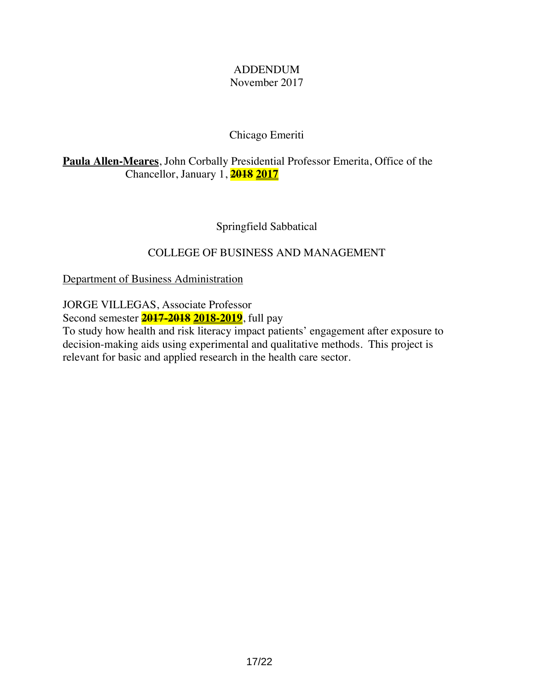### ADDENDUM November 2017

# Chicago Emeriti

**Paula Allen-Meares**, John Corbally Presidential Professor Emerita, Office of the Chancellor, January 1, **2018 2017**

Springfield Sabbatical

# COLLEGE OF BUSINESS AND MANAGEMENT

Department of Business Administration

JORGE VILLEGAS, Associate Professor

Second semester **2017-2018 2018-2019**, full pay

To study how health and risk literacy impact patients' engagement after exposure to decision-making aids using experimental and qualitative methods. This project is relevant for basic and applied research in the health care sector.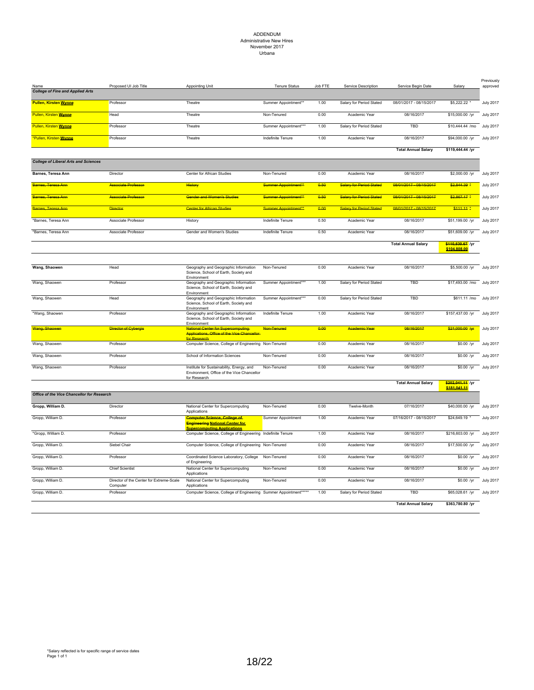#### ADDENDUM Administrative New Hires November 2017 Urbana

| <b>College of Fine and Applied Arts</b>     | Proposed UI Job Title                                | <b>Appointing Unit</b>                                                                                              | <b>Tenure Status</b>             | Job FTE | Service Description             | Service Begin Date         | Salary                           | Previously<br>approved |
|---------------------------------------------|------------------------------------------------------|---------------------------------------------------------------------------------------------------------------------|----------------------------------|---------|---------------------------------|----------------------------|----------------------------------|------------------------|
| <b>Pullen, Kirsten Wynne</b>                | Professor                                            | Theatre                                                                                                             | Summer Appointment*              | 1.00    | Salary for Period Stated        | 08/01/2017 - 08/15/2017    | \$5,222.22                       | <b>July 2017</b>       |
| Pullen, Kirsten Wynne                       | Head                                                 | Theatre                                                                                                             | Non-Tenured                      | 0.00    | Academic Year                   | 08/16/2017                 | \$15,000.00 /yr                  | <b>July 2017</b>       |
| Pullen, Kirsten Wynne                       | Professor                                            | Theatre                                                                                                             | Summer Appointment**             | 1.00    | Salary for Period Stated        | TBD                        | \$10,444.44 /mo                  | <b>July 2017</b>       |
| *Pullen, Kirsten Wynne                      | Professor                                            | Theatre                                                                                                             | Indefinite Tenure                | 1.00    | Academic Year                   | 08/16/2017                 | \$94,000.00 /yr                  | <b>July 2017</b>       |
|                                             |                                                      |                                                                                                                     |                                  |         |                                 | <b>Total Annual Salary</b> | \$119,444.44 /yr                 |                        |
| <b>College of Liberal Arts and Sciences</b> |                                                      |                                                                                                                     |                                  |         |                                 |                            |                                  |                        |
| Barnes, Teresa Ann                          | Director                                             | Center for African Studies                                                                                          | Non-Tenured                      | 0.00    | Academic Year                   | 08/16/2017                 | \$2,000.00 /yr                   | <b>July 2017</b>       |
| Barnes, Teresa Ann                          | <b>Associate Professor</b>                           | History                                                                                                             | Summer Appointment**             | 0.50    | <b>Salary for Period Stated</b> | 08/01/2017 - 08/15/2017    | \$2,844.39 *                     | <b>July 2017</b>       |
| Barnes, Teresa Ann                          | <b>Associate Professor</b>                           | <b>Gender and Women's Studies</b>                                                                                   | Summer Appointment <sup>**</sup> | 0.50    | <b>Salary for Period Stated</b> | 08/01/2017 - 08/15/2017    | $$2,867.17$ *                    | <b>July 2017</b>       |
| Barnes, Teresa Ann                          | <b>Director</b>                                      | <b>Center for African Studies</b>                                                                                   | Summer Appointment <sup>**</sup> | 0.00    | <b>Salary for Period Stated</b> | 08/01/2017 - 08/15/2017    | $$111.11$ $*$                    | <b>July 2017</b>       |
| *Barnes, Teresa Ann                         | Associate Professor                                  | History                                                                                                             | Indefinite Tenure                | 0.50    | Academic Year                   | 08/16/2017                 | \$51,199.00 /yr                  | <b>July 2017</b>       |
| *Barnes, Teresa Ann                         | Associate Professor                                  | Gender and Women's Studies                                                                                          | Indefinite Tenure                | 0.50    | Academic Year                   | 08/16/2017                 | \$51,609.00 /yr                  | <b>July 2017</b>       |
|                                             |                                                      |                                                                                                                     |                                  |         |                                 | <b>Total Annual Salary</b> | \$110,630.67 /yr<br>\$104,808.00 |                        |
|                                             |                                                      |                                                                                                                     |                                  |         |                                 |                            |                                  |                        |
| Wang, Shaowen                               | Head                                                 | Geography and Geographic Information<br>Science, School of Earth, Society and<br>Environment                        | Non-Tenured                      | 0.00    | Academic Year                   | 08/16/2017                 | \$5,500.00 /yr                   | <b>July 2017</b>       |
| Wang, Shaowen                               | Professor                                            | Geography and Geographic Information<br>Science, School of Earth, Society and<br>Environment                        | Summer Appointment**             | 1.00    | Salary for Period Stated        | TBD                        | \$17,493.00 /mo July 2017        |                        |
| Wang, Shaowen                               | Head                                                 | Geography and Geographic Information<br>Science, School of Earth, Society and<br>Environment                        | Summer Appointment***            | 0.00    | Salary for Period Stated        | TBD                        | \$611.11 /mo                     | <b>July 2017</b>       |
| *Wang, Shaowen                              | Professor                                            | Geography and Geographic Information<br>Science, School of Earth, Society and<br>Environment                        | Indefinite Tenure                | 1.00    | Academic Year                   | 08/16/2017                 | \$157,437.00 /yr                 | <b>July 2017</b>       |
| Wang, Shaowen                               | Director of Cybergis                                 | al Center for Supercomputing-<br>Applications, Office of the Vice Chancellor<br>for Research                        | Non-Tenured                      | 0.00    | <b>Academic Year</b>            | 08/16/2017                 | \$21,000.00 Ayr                  | <b>July 2017</b>       |
| Wang, Shaowen                               | Professor                                            | Computer Science, College of Engineering Non-Tenured                                                                |                                  | 0.00    | Academic Year                   | 08/16/2017                 | $$0.00$ /yr                      | <b>July 2017</b>       |
| Wang, Shaowen                               | Professor                                            | School of Information Sciences                                                                                      | Non-Tenured                      | 0.00    | Academic Year                   | 08/16/2017                 | $$0.00$ /yr                      | <b>July 2017</b>       |
| Wang, Shaowen                               | Professor                                            | Institute for Sustainability, Energy, and<br>Environment, Office of the Vice Chancellor<br>for Research             | Non-Tenured                      | 0.00    | Academic Year                   | 08/16/2017                 | \$0.00 /yr                       | <b>July 2017</b>       |
|                                             |                                                      |                                                                                                                     |                                  |         |                                 | <b>Total Annual Salary</b> | \$202,041.11 /yr<br>\$181 041 11 |                        |
| Office of the Vice Chancellor for Research  |                                                      |                                                                                                                     |                                  |         |                                 |                            |                                  |                        |
| Gropp, William D.                           | Director                                             | National Center for Supercomputing<br>Applications                                                                  | Non-Tenured                      | 0.00    | Twelve-Month                    | 07/16/2017                 | \$40,000.00 /yr                  | <b>July 2017</b>       |
| Gropp, William D.                           | Professor                                            | <b>Computer Science, College of</b><br><b>Engineering National Center for</b><br><u>Supercomputing Applications</u> | Summer Appointment               | 1.00    | Academic Year                   | 07/16/2017 - 08/15/2017    | \$24,649.19                      | <b>July 2017</b>       |
| *Gropp, William D.                          | Professor                                            | Computer Science, College of Engineering Indefinite Tenure                                                          |                                  | 1.00    | Academic Year                   | 08/16/2017                 | \$216,603.00 /yr                 | <b>July 2017</b>       |
| Gropp, William D.                           | Siebel Chair                                         | Computer Science, College of Engineering Non-Tenured                                                                |                                  | 0.00    | Academic Year                   | 08/16/2017                 | \$17,500.00 /yr                  | <b>July 2017</b>       |
| Gropp, William D.                           | Professor                                            | Coordinated Science Laboratory, College<br>of Engineering                                                           | Non-Tenured                      | 0.00    | Academic Year                   | 08/16/2017                 | \$0.00 /yr                       | <b>July 2017</b>       |
| Gropp, William D.                           | <b>Chief Scientist</b>                               | National Center for Supercomputing<br>Applications                                                                  | Non-Tenured                      | 0.00    | Academic Year                   | 08/16/2017                 | \$0.00 /yr                       | <b>July 2017</b>       |
| Gropp, William D.                           | Director of the Center for Extreme-Scale<br>Computer | National Center for Supercomputing<br>Applications                                                                  | Non-Tenured                      | 0.00    | Academic Year                   | 08/16/2017                 | \$0.00 /yr                       | <b>July 2017</b>       |
| Gropp, William D.                           | Professor                                            | Computer Science, College of Engineering Summer Appointment*****                                                    |                                  | 1.00    | Salary for Period Stated        | TBD                        | \$65,028.61 /yr                  | <b>July 2017</b>       |
|                                             |                                                      |                                                                                                                     |                                  |         |                                 | <b>Total Annual Salary</b> | \$363,780.80 /yr                 |                        |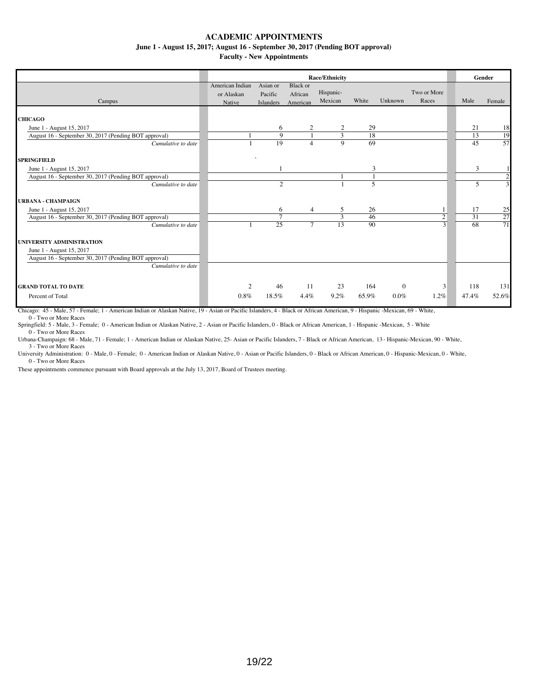**June 1 - August 15, 2017; August 16 - September 30, 2017 (Pending BOT approval)**

**Faculty - New Appointments**

|                                                       |                                         | <b>Race/Ethnicity</b>            |                                        |                      |       |              |                      |  |       |                |
|-------------------------------------------------------|-----------------------------------------|----------------------------------|----------------------------------------|----------------------|-------|--------------|----------------------|--|-------|----------------|
| Campus                                                | American Indian<br>or Alaskan<br>Native | Asian or<br>Pacific<br>Islanders | <b>Black</b> or<br>African<br>American | Hispanic-<br>Mexican | White | Unknown      | Two or More<br>Races |  | Male  | Female         |
|                                                       |                                         |                                  |                                        |                      |       |              |                      |  |       |                |
| <b>CHICAGO</b>                                        |                                         |                                  |                                        |                      |       |              |                      |  |       |                |
| June 1 - August 15, 2017                              |                                         | 6                                | 2                                      | 2                    | 29    |              |                      |  | 21    | 18             |
| August 16 - September 30, 2017 (Pending BOT approval) |                                         | 9                                |                                        | 3                    | 18    |              |                      |  | 13    | 19             |
| Cumulative to date                                    |                                         | 19                               | $\overline{4}$                         | 9                    | 69    |              |                      |  | 45    | 57             |
| <b>SPRINGFIELD</b>                                    |                                         |                                  |                                        |                      |       |              |                      |  |       |                |
| June 1 - August 15, 2017                              |                                         |                                  |                                        |                      | 3     |              |                      |  | 3     |                |
| August 16 - September 30, 2017 (Pending BOT approval) |                                         |                                  |                                        |                      |       |              |                      |  |       | $\overline{2}$ |
| Cumulative to date                                    |                                         | $\overline{c}$                   |                                        |                      | 5     |              |                      |  | 5     | 3              |
| <b>URBANA - CHAMPAIGN</b>                             |                                         |                                  |                                        |                      |       |              |                      |  |       |                |
| June 1 - August 15, 2017                              |                                         | 6                                | 4                                      | 5                    | 26    |              |                      |  | 17    | 25             |
| August 16 - September 30, 2017 (Pending BOT approval) |                                         | $\mathcal{I}$                    |                                        | 3                    | 46    |              | 2                    |  | 31    | 27             |
| Cumulative to date                                    |                                         | 25                               | $\tau$                                 | 13                   | 90    |              | $\mathcal{E}$        |  | 68    | 71             |
| UNIVERSITY ADMINISTRATION                             |                                         |                                  |                                        |                      |       |              |                      |  |       |                |
| June 1 - August 15, 2017                              |                                         |                                  |                                        |                      |       |              |                      |  |       |                |
| August 16 - September 30, 2017 (Pending BOT approval) |                                         |                                  |                                        |                      |       |              |                      |  |       |                |
| Cumulative to date                                    |                                         |                                  |                                        |                      |       |              |                      |  |       |                |
|                                                       |                                         |                                  |                                        |                      |       |              |                      |  |       |                |
| <b>GRAND TOTAL TO DATE</b>                            | 2                                       | 46                               | 11                                     | 23                   | 164   | $\mathbf{0}$ | 3                    |  | 118   | 131            |
| Percent of Total                                      | 0.8%                                    | 18.5%                            | 4.4%                                   | 9.2%                 | 65.9% | $0.0\%$      | 1.2%                 |  | 47.4% | 52.6%          |

Chicago: 45 - Male, 57 - Female; 1 - American Indian or Alaskan Native, 19 - Asian or Pacific Islanders, 4 - Black or African American, 9 - Hispanic -Mexican, 69 - White, 0 - Two or More Races

Springfield: 5 - Male, 3 - Female; 0 - American Indian or Alaskan Native, 2 - Asian or Pacific Islanders, 0 - Black or African American, 1 - Hispanic -Mexican, 5 - White 0 - Two or More Races

Urbana-Champaign: 68 - Male, 71 - Female; 1 - American Indian or Alaskan Native, 25- Asian or Pacific Islanders, 7 - Black or African American, 13 - Hispanic-Mexican, 90 - White,

3 - Two or More Races University Administration: 0 - Male, 0 - Female; 0 - American Indian or Alaskan Native, 0 - Asian or Pacific Islanders, 0 - Black or African American, 0 - Hispanic-Mexican, 0 - White, 0 - Two or More Races

These appointments commence pursuant with Board approvals at the July 13, 2017, Board of Trustees meeting.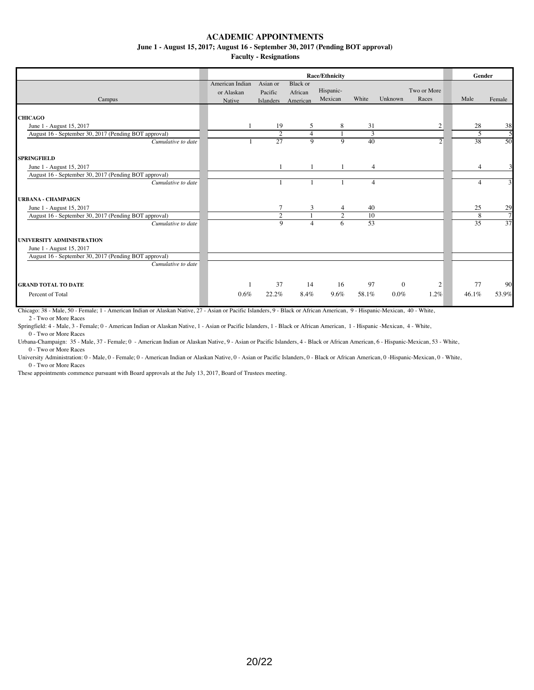#### **June 1 - August 15, 2017; August 16 - September 30, 2017 (Pending BOT approval)**

**Faculty - Resignations**

|                                                       | <b>Race/Ethnicity</b>         |                     |                            |                      |                |              |                      |      |                | Gender |
|-------------------------------------------------------|-------------------------------|---------------------|----------------------------|----------------------|----------------|--------------|----------------------|------|----------------|--------|
| Campus                                                | American Indian<br>or Alaskan | Asian or<br>Pacific | <b>Black or</b><br>African | Hispanic-<br>Mexican | White          | Unknown      | Two or More<br>Races | Male |                | Female |
|                                                       | Native                        | Islanders           | American                   |                      |                |              |                      |      |                |        |
| <b>CHICAGO</b>                                        |                               |                     |                            |                      |                |              |                      |      |                |        |
| June 1 - August 15, 2017                              |                               | 19                  | 5                          | 8                    | 31             |              | $\overline{2}$       |      | 28             | 38     |
| August 16 - September 30, 2017 (Pending BOT approval) |                               | $\overline{c}$      | $\overline{4}$             |                      | 3              |              |                      |      | 5              | 5      |
| Cumulative to date                                    |                               | 27                  | 9                          | 9                    | 40             |              | $\overline{2}$       |      | 38             | 50     |
| <b>SPRINGFIELD</b>                                    |                               |                     |                            |                      |                |              |                      |      |                |        |
| June 1 - August 15, 2017                              |                               |                     |                            |                      | $\overline{4}$ |              |                      |      | $\overline{4}$ |        |
| August 16 - September 30, 2017 (Pending BOT approval) |                               |                     |                            |                      |                |              |                      |      |                |        |
| Cumulative to date                                    |                               |                     |                            |                      | 4              |              |                      |      | 4              | 3      |
| <b>URBANA - CHAMPAIGN</b>                             |                               |                     |                            |                      |                |              |                      |      |                |        |
| June 1 - August 15, 2017                              |                               | 7                   | 3                          | 4                    | 40             |              |                      |      | 25             | 29     |
| August 16 - September 30, 2017 (Pending BOT approval) |                               | $\overline{2}$      |                            | 2                    | 10             |              |                      |      | 8              | 7      |
| Cumulative to date                                    |                               | $\overline{9}$      | $\overline{4}$             | 6                    | 53             |              |                      |      | 35             | 37     |
| UNIVERSITY ADMINISTRATION                             |                               |                     |                            |                      |                |              |                      |      |                |        |
| June 1 - August 15, 2017                              |                               |                     |                            |                      |                |              |                      |      |                |        |
| August 16 - September 30, 2017 (Pending BOT approval) |                               |                     |                            |                      |                |              |                      |      |                |        |
| Cumulative to date                                    |                               |                     |                            |                      |                |              |                      |      |                |        |
| <b>GRAND TOTAL TO DATE</b>                            |                               | 37                  | 14                         | 16                   | 97             | $\mathbf{0}$ | 2                    |      | 77             | 90     |
| Percent of Total                                      | $0.6\%$                       | 22.2%               | 8.4%                       | 9.6%                 | 58.1%          | $0.0\%$      | 1.2%                 |      | 46.1%          | 53.9%  |

Chicago: 38 - Male, 50 - Female; 1 - American Indian or Alaskan Native, 27 - Asian or Pacific Islanders, 9 - Black or African American, 9 - Hispanic-Mexican, 40 - White, 2 - Two or More Races

Springfield: 4 - Male, 3 - Female; 0 - American Indian or Alaskan Native, 1 - Asian or Pacific Islanders, 1 - Black or African American, 1 - Hispanic -Mexican, 4 - White, 0 - Two or More Races

Urbana-Champaign: 35 - Male, 37 - Female; 0 - American Indian or Alaskan Native, 9 - Asian or Pacific Islanders, 4 - Black or African American, 6 - Hispanic-Mexican, 53 - White,

0 - Two or More Races University Administration: 0 - Male, 0 - Female; 0 - American Indian or Alaskan Native, 0 - Asian or Pacific Islanders, 0 - Black or African American, 0 -Hispanic-Mexican, 0 - White, 0 - Two or More Races

These appointments commence pursuant with Board approvals at the July 13, 2017, Board of Trustees meeting.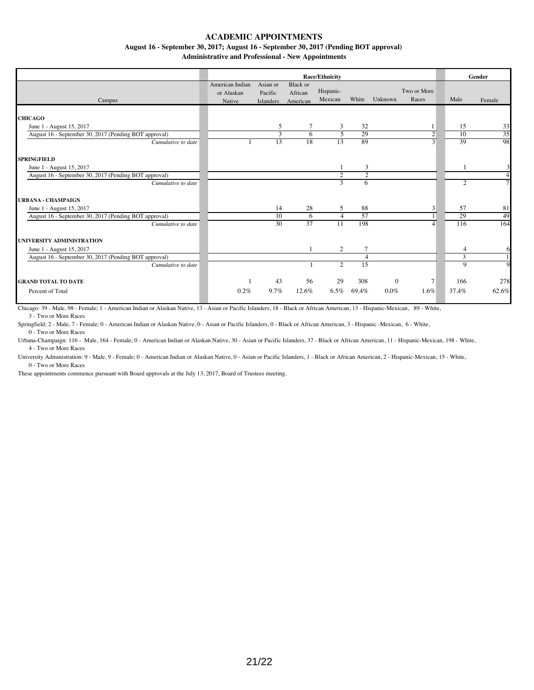**August 16 - September 30, 2017; August 16 - September 30, 2017 (Pending BOT approval)** 

**Administrative and Professional - New Appointments**

|                                                       |                 |                 | Gender          |           |                |              |                |       |                |
|-------------------------------------------------------|-----------------|-----------------|-----------------|-----------|----------------|--------------|----------------|-------|----------------|
|                                                       | American Indian | Asian or        | <b>Black</b> or |           |                |              |                |       |                |
|                                                       | or Alaskan      | Pacific         | African         | Hispanic- |                |              | Two or More    |       |                |
| Campus                                                | Native          | Islanders       | American        | Mexican   | White          | Unknown      | Races          | Male  | Female         |
|                                                       |                 |                 |                 |           |                |              |                |       |                |
| <b>CHICAGO</b>                                        |                 |                 |                 |           |                |              |                |       |                |
| June 1 - August 15, 2017                              |                 | 5               | 7               | 3         | 32             |              |                | 15    | 33             |
| August 16 - September 30, 2017 (Pending BOT approval) |                 | 3               | 6               | 5         | 29             |              | $\overline{c}$ | 10    | 35             |
| Cumulative to date                                    |                 | 13              | 18              | 13        | 89             |              | 3              | 39    | 98             |
|                                                       |                 |                 |                 |           |                |              |                |       |                |
| <b>SPRINGFIELD</b>                                    |                 |                 |                 |           |                |              |                |       |                |
| June 1 - August 15, 2017                              |                 |                 |                 |           | 3              |              |                |       |                |
| August 16 - September 30, 2017 (Pending BOT approval) |                 |                 |                 | 2         | $\overline{2}$ |              |                |       | $\overline{4}$ |
| Cumulative to date                                    |                 |                 |                 | 3         | 6              |              |                | 2     | $\tau$         |
|                                                       |                 |                 |                 |           |                |              |                |       |                |
| <b>URBANA - CHAMPAIGN</b>                             |                 |                 |                 |           |                |              |                |       |                |
| June 1 - August 15, 2017                              |                 | 14              | 28              | 5         | 88             |              | 3              | 57    | 81             |
| August 16 - September 30, 2017 (Pending BOT approval) |                 | 10              | 6               | $\Delta$  | 57             |              |                | 29    | 49             |
| Cumulative to date                                    |                 | $\overline{30}$ | 37              | 11        | 198            |              | $\overline{4}$ | 116   | 164            |
|                                                       |                 |                 |                 |           |                |              |                |       |                |
| UNIVERSITY ADMINISTRATION                             |                 |                 |                 |           |                |              |                |       |                |
| June 1 - August 15, 2017                              |                 |                 |                 | 2         | 7              |              |                | 4     | 6              |
| August 16 - September 30, 2017 (Pending BOT approval) |                 |                 |                 |           | 4              |              |                | 3     |                |
| Cumulative to date                                    |                 |                 |                 | 2         | 15             |              |                | 9     | 9              |
|                                                       |                 |                 |                 |           |                |              |                |       |                |
| <b>GRAND TOTAL TO DATE</b>                            |                 | 43              | 56              | 29        | 308            | $\mathbf{0}$ | 7              | 166   | 278            |
| Percent of Total                                      | 0.2%            | 9.7%            | 12.6%           | $6.5\%$   | 69.4%          | $0.0\%$      | 1.6%           | 37.4% | 62.6%          |
|                                                       |                 |                 |                 |           |                |              |                |       |                |

Chicago: 39 - Male, 98 - Female; 1 - American Indian or Alaskan Native, 13 - Asian or Pacific Islanders, 18 - Black or African American, 13 - Hispanic-Mexican, 89 - White, 3 - Two or More Races

Springfield: 2 - Male, 7 - Female; 0 - American Indian or Alaskan Native, 0 - Asian or Pacific Islanders, 0 - Black or African American, 3 - Hispanic -Mexican, 6 - White, 0 - Two or More Races

Urbana-Champaign: 116 - Male, 164 - Female; 0 - American Indian or Alaskan Native, 30 - Asian or Pacific Islanders, 37 - Black or African American, 11 - Hispanic-Mexican, 198 - White, 4 - Two or More Races

University Administration: 9 - Male, 9 - Female; 0 - American Indian or Alaskan Native, 0 - Asian or Pacific Islanders, 1 - Black or African American, 2 - Hispanic-Mexican, 15 - White, 0 - Two or More Races

These appointments commence pursuant with Board approvals at the July 13, 2017, Board of Trustees meeting.